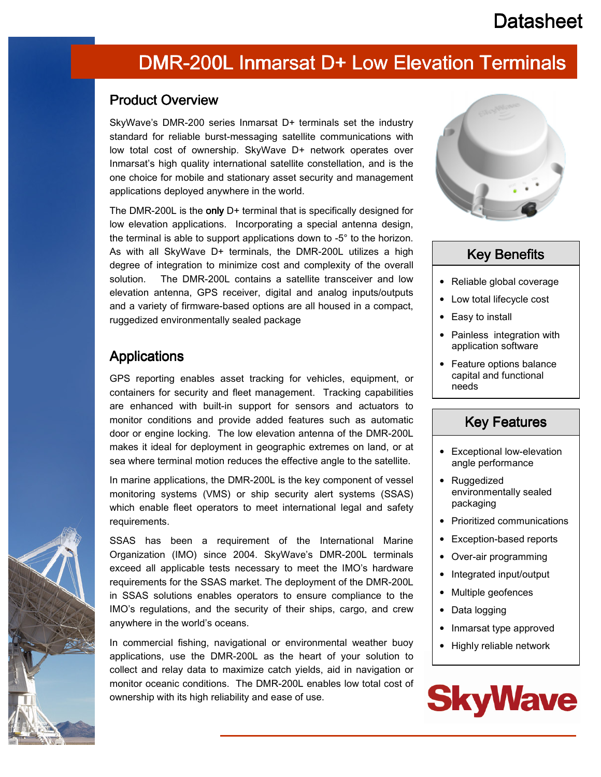# **Datasheet**

# DMR-200L Inmarsat D+ Low Elevation Terminals

#### Product Overview

SkyWave's DMR-200 series Inmarsat D+ terminals set the industry standard for reliable burst-messaging satellite communications with low total cost of ownership. SkyWave D+ network operates over Inmarsat's high quality international satellite constellation, and is the one choice for mobile and stationary asset security and management applications deployed anywhere in the world.

The DMR-200L is the only D+ terminal that is specifically designed for low elevation applications. Incorporating a special antenna design, the terminal is able to support applications down to -5° to the horizon. As with all SkyWave D+ terminals, the DMR-200L utilizes a high degree of integration to minimize cost and complexity of the overall solution. The DMR-200L contains a satellite transceiver and low elevation antenna, GPS receiver, digital and analog inputs/outputs and a variety of firmware-based options are all housed in a compact, ruggedized environmentally sealed package

### **Applications**

GPS reporting enables asset tracking for vehicles, equipment, or containers for security and fleet management. Tracking capabilities are enhanced with built-in support for sensors and actuators to monitor conditions and provide added features such as automatic door or engine locking. The low elevation antenna of the DMR-200L makes it ideal for deployment in geographic extremes on land, or at sea where terminal motion reduces the effective angle to the satellite.

In marine applications, the DMR-200L is the key component of vessel monitoring systems (VMS) or ship security alert systems (SSAS) which enable fleet operators to meet international legal and safety requirements.

SSAS has been a requirement of the International Marine Organization (IMO) since 2004. SkyWave's DMR-200L terminals exceed all applicable tests necessary to meet the IMO's hardware requirements for the SSAS market. The deployment of the DMR-200L in SSAS solutions enables operators to ensure compliance to the IMO's regulations, and the security of their ships, cargo, and crew anywhere in the world's oceans.

In commercial fishing, navigational or environmental weather buoy applications, use the DMR-200L as the heart of your solution to collect and relay data to maximize catch yields, aid in navigation or monitor oceanic conditions. The DMR-200L enables low total cost of ownership with its high reliability and ease of use.



## **Key Benefits**

- Reliable global coverage
- Low total lifecycle cost
- Easy to install
- Painless integration with application software
- Feature options balance capital and functional needs

### **Key Features**

- Exceptional low-elevation angle performance
- Ruggedized environmentally sealed packaging
- Prioritized communications
- Exception-based reports
- Over-air programming
- Integrated input/output
- Multiple geofences
- Data logging
- Inmarsat type approved
- Highly reliable network